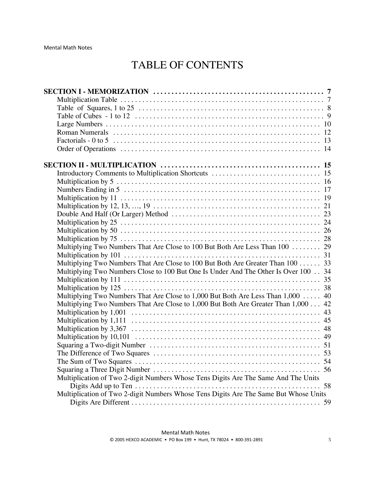# TABLE OF CONTENTS

| Multiplying Two Numbers That Are Close to 100 But Both Are Less Than 100  29         |    |
|--------------------------------------------------------------------------------------|----|
|                                                                                      |    |
| Multiplying Two Numbers That Are Close to 100 But Both Are Greater Than 100 33       |    |
| Multiplying Two Numbers Close to 100 But One Is Under And The Other Is Over 100 34   |    |
|                                                                                      |    |
|                                                                                      |    |
| Multiplying Two Numbers That Are Close to 1,000 But Both Are Less Than 1,000  40     |    |
| Multiplying Two Numbers That Are Close to 1,000 But Both Are Greater Than 1,000 42   |    |
|                                                                                      |    |
|                                                                                      |    |
|                                                                                      |    |
|                                                                                      |    |
|                                                                                      |    |
|                                                                                      |    |
|                                                                                      |    |
|                                                                                      |    |
| Multiplication of Two 2-digit Numbers Whose Tens Digits Are The Same And The Units   |    |
|                                                                                      | 58 |
| Multiplication of Two 2-digit Numbers Whose Tens Digits Are The Same But Whose Units |    |
|                                                                                      |    |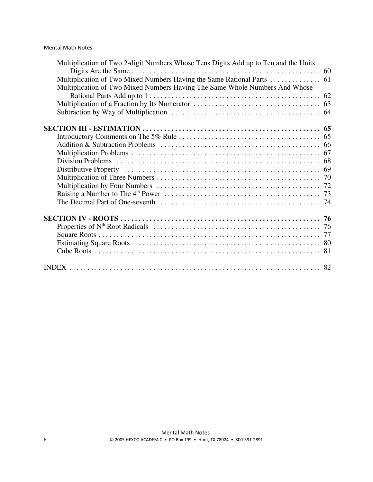| <b>Mental Math Notes</b> |  |  |
|--------------------------|--|--|
|--------------------------|--|--|

| Multiplication of Two 2-digit Numbers Whose Tens Digits Add up to Ten and the Units |  |
|-------------------------------------------------------------------------------------|--|
|                                                                                     |  |
|                                                                                     |  |
| Multiplication of Two Mixed Numbers Having The Same Whole Numbers And Whose         |  |
|                                                                                     |  |
|                                                                                     |  |
|                                                                                     |  |
|                                                                                     |  |
|                                                                                     |  |
|                                                                                     |  |
|                                                                                     |  |
|                                                                                     |  |
|                                                                                     |  |
|                                                                                     |  |
|                                                                                     |  |
|                                                                                     |  |
|                                                                                     |  |
|                                                                                     |  |
|                                                                                     |  |
|                                                                                     |  |
|                                                                                     |  |
|                                                                                     |  |
|                                                                                     |  |
|                                                                                     |  |
|                                                                                     |  |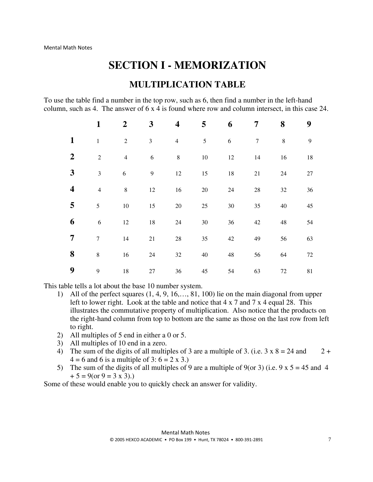## **SECTION I - MEMORIZATION**

## **MULTIPLICATION TABLE**

To use the table find a number in the top row, such as 6, then find a number in the left-hand column, such as 4. The answer of 6 x 4 is found where row and column intersect, in this case 24.

|                         | $\mathbf{1}$   | $\boldsymbol{2}$ | $\mathbf{3}$   | 4              | 5      | 6      | 7              | 8  | 9      |
|-------------------------|----------------|------------------|----------------|----------------|--------|--------|----------------|----|--------|
| $\mathbf{1}$            | $\mathbf{1}$   | $\overline{2}$   | $\mathfrak{Z}$ | $\overline{4}$ | 5      | 6      | $\overline{7}$ | 8  | 9      |
| $\overline{2}$          | $\overline{2}$ | $\overline{4}$   | 6              | $\,8\,$        | $10\,$ | 12     | 14             | 16 | 18     |
| $\mathbf{3}$            | $\overline{3}$ | $\sqrt{6}$       | 9              | 12             | 15     | 18     | 21             | 24 | 27     |
| $\overline{\mathbf{4}}$ | $\overline{4}$ | $8\,$            | $12\,$         | 16             | $20\,$ | 24     | 28             | 32 | 36     |
| 5                       | 5              | $10\,$           | 15             | 20             | 25     | $30\,$ | 35             | 40 | $45\,$ |
| 6                       | 6              | 12               | $18\,$         | 24             | 30     | 36     | 42             | 48 | 54     |
| $\overline{7}$          | $\overline{7}$ | 14               | 21             | 28             | 35     | 42     | 49             | 56 | 63     |
| 8                       | $\,8\,$        | 16               | 24             | 32             | 40     | 48     | 56             | 64 | 72     |
| 9                       | 9              | 18               | 27             | 36             | 45     | 54     | 63             | 72 | 81     |

This table tells a lot about the base 10 number system.

- 1) All of the perfect squares (1, 4, 9, 16,…, 81, 100) lie on the main diagonal from upper left to lower right. Look at the table and notice that 4 x 7 and 7 x 4 equal 28. This illustrates the commutative property of multiplication. Also notice that the products on the right-hand column from top to bottom are the same as those on the last row from left to right.
- 2) All multiples of 5 end in either a 0 or 5.
- 3) All multiples of 10 end in a zero.
- 4) The sum of the digits of all multiples of 3 are a multiple of 3. (i.e.  $3 \times 8 = 24$  and  $2 +$  $4 = 6$  and 6 is a multiple of 3:  $6 = 2 \times 3$ .)
- 5) The sum of the digits of all multiples of 9 are a multiple of 9(or 3) (i.e.  $9 \times 5 = 45$  and 4  $+ 5 = 9$ (or  $9 = 3 \times 3$ ).)

Some of these would enable you to quickly check an answer for validity.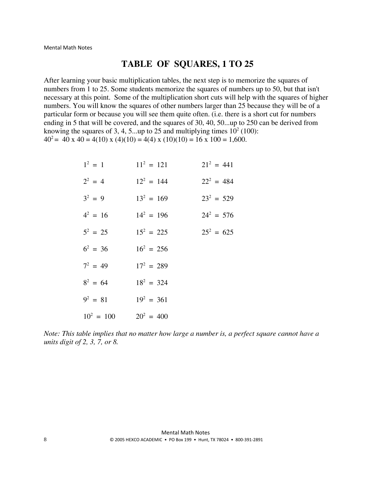### **TABLE OF SQUARES, 1 TO 25**

After learning your basic multiplication tables, the next step is to memorize the squares of numbers from 1 to 25. Some students memorize the squares of numbers up to 50, but that isn't necessary at this point. Some of the multiplication short cuts will help with the squares of higher numbers. You will know the squares of other numbers larger than 25 because they will be of a particular form or because you will see them quite often. (i.e. there is a short cut for numbers ending in 5 that will be covered, and the squares of 30, 40, 50...up to 250 can be derived from knowing the squares of 3, 4, 5...up to 25 and multiplying times  $10^2$  (100):  $40^2$  = 40 x 40 = 4(10) x (4)(10) = 4(4) x (10)(10) = 16 x 100 = 1,600.

| $1^2 = 1$    | $11^2 = 121$ | $21^2 = 441$ |
|--------------|--------------|--------------|
| $2^2 = 4$    | $12^2 = 144$ | $22^2 = 484$ |
| $3^2 = 9$    | $13^2 = 169$ | $23^2 = 529$ |
| $4^2 = 16$   | $14^2 = 196$ | $24^2 = 576$ |
| $5^2 = 25$   | $15^2 = 225$ | $25^2 = 625$ |
| $6^2 = 36$   | $16^2 = 256$ |              |
| $7^2 = 49$   | $17^2 = 289$ |              |
| $8^2 = 64$   | $18^2 = 324$ |              |
| $9^2 = 81$   | $19^2 = 361$ |              |
| $10^2 = 100$ | $20^2 = 400$ |              |

*Note: This table implies that no matter how large a number is, a perfect square cannot have a units digit of 2, 3, 7, or 8.*